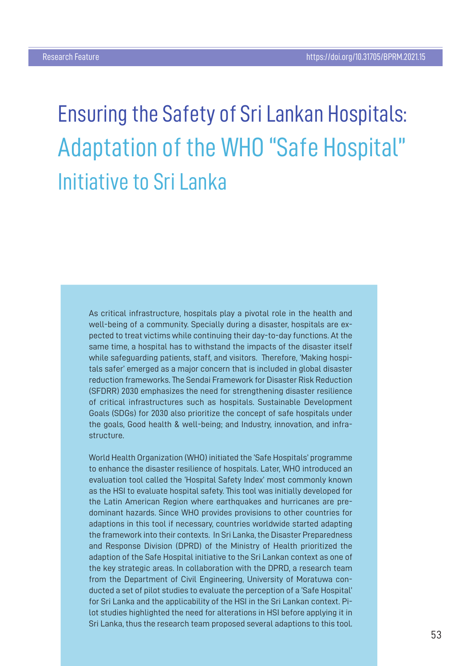Ensuring the Safety of Sri Lankan Hospitals: Adaptation of the WHO "Safe Hospital" Initiative to Sri Lanka

As critical infrastructure, hospitals play a pivotal role in the health and well-being of a community. Specially during a disaster, hospitals are expected to treat victims while continuing their day-to-day functions. At the same time, a hospital has to withstand the impacts of the disaster itself while safeguarding patients, staff, and visitors. Therefore, 'Making hospitals safer' emerged as a major concern that is included in global disaster reduction frameworks. The Sendai Framework for Disaster Risk Reduction (SFDRR) 2030 emphasizes the need for strengthening disaster resilience of critical infrastructures such as hospitals. Sustainable Development Goals (SDGs) for 2030 also prioritize the concept of safe hospitals under the goals, Good health & well-being; and Industry, innovation, and infrastructure.

World Health Organization (WHO) initiated the 'Safe Hospitals' programme to enhance the disaster resilience of hospitals. Later, WHO introduced an evaluation tool called the 'Hospital Safety Index' most commonly known as the HSI to evaluate hospital safety. This tool was initially developed for the Latin American Region where earthquakes and hurricanes are predominant hazards. Since WHO provides provisions to other countries for adaptions in this tool if necessary, countries worldwide started adapting the framework into their contexts. In Sri Lanka, the Disaster Preparedness and Response Division (DPRD) of the Ministry of Health prioritized the adaption of the Safe Hospital initiative to the Sri Lankan context as one of the key strategic areas. In collaboration with the DPRD, a research team from the Department of Civil Engineering, University of Moratuwa conducted a set of pilot studies to evaluate the perception of a 'Safe Hospital' for Sri Lanka and the applicability of the HSI in the Sri Lankan context. Pilot studies highlighted the need for alterations in HSI before applying it in Sri Lanka, thus the research team proposed several adaptions to this tool.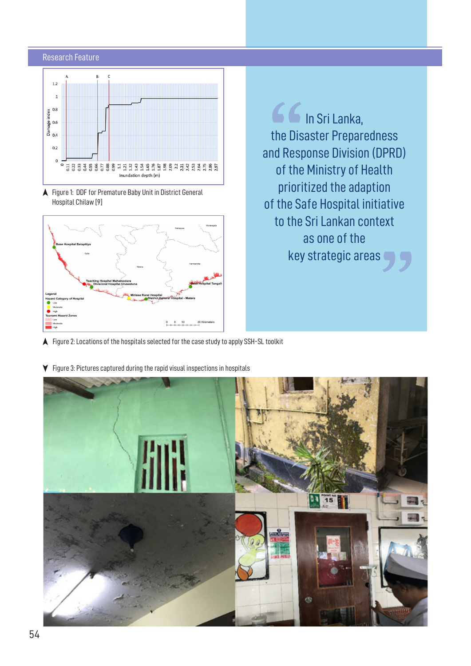## Research Feature



A Figure 1: DDF for Premature Baby Unit in District General Hospital Chilaw [9]



66 In Sri Lanka, the Disaster Preparedness and Response Division (DPRD) of the Ministry of Health prioritized the adaption of the Safe Hospital initiative to the Sri Lankan context as one of the key strategic areas

- $\blacktriangle$  Figure 2: Locations of the hospitals selected for the case study to apply SSH-SL toolkit
- $\blacktriangledown$  Figure 3: Pictures captured during the rapid visual inspections in hospitals